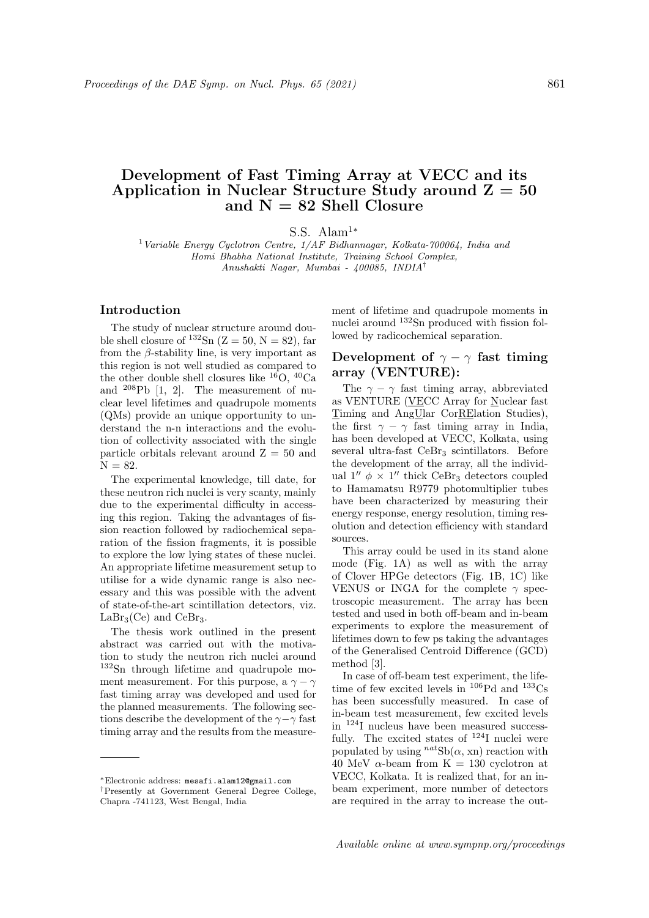# Development of Fast Timing Array at VECC and its Application in Nuclear Structure Study around  $Z = 50$ and  $N = 82$  Shell Closure

S.S. Alam<sup>1</sup><sup>\*</sup>

<sup>1</sup> Variable Energy Cyclotron Centre,  $1/AF$  Bidhannagar, Kolkata-700064, India and Homi Bhabha National Institute, Training School Complex, Anushakti Nagar, Mumbai - 400085, INDIA†

#### Introduction

The study of nuclear structure around double shell closure of  $132\text{Sn}$  (Z = 50, N = 82), far from the  $\beta$ -stability line, is very important as this region is not well studied as compared to the other double shell closures like  ${}^{16}O$ ,  ${}^{40}Ca$ and <sup>208</sup>Pb [1, 2]. The measurement of nuclear level lifetimes and quadrupole moments (QMs) provide an unique opportunity to understand the n-n interactions and the evolution of collectivity associated with the single particle orbitals relevant around  $Z = 50$  and  $N = 82.$ 

The experimental knowledge, till date, for these neutron rich nuclei is very scanty, mainly due to the experimental difficulty in accessing this region. Taking the advantages of fission reaction followed by radiochemical separation of the fission fragments, it is possible to explore the low lying states of these nuclei. An appropriate lifetime measurement setup to utilise for a wide dynamic range is also necessary and this was possible with the advent of state-of-the-art scintillation detectors, viz.  $LaBr<sub>3</sub>(Ce)$  and  $CeBr<sub>3</sub>$ .

The thesis work outlined in the present abstract was carried out with the motivation to study the neutron rich nuclei around <sup>132</sup>Sn through lifetime and quadrupole moment measurement. For this purpose, a  $\gamma - \gamma$ fast timing array was developed and used for the planned measurements. The following sections describe the development of the  $\gamma-\gamma$  fast timing array and the results from the measurement of lifetime and quadrupole moments in nuclei around <sup>132</sup>Sn produced with fission followed by radicochemical separation.

#### Development of  $\gamma - \gamma$  fast timing array (VENTURE):

The  $\gamma - \gamma$  fast timing array, abbreviated as VENTURE (VECC Array for Nuclear fast Timing and AngUlar CorRElation Studies), the first  $\gamma - \gamma$  fast timing array in India, has been developed at VECC, Kolkata, using several ultra-fast  $CeBr<sub>3</sub>$  scintillators. Before the development of the array, all the individual 1"  $\phi \times 1$ " thick CeBr<sub>3</sub> detectors coupled to Hamamatsu R9779 photomultiplier tubes have been characterized by measuring their energy response, energy resolution, timing resolution and detection efficiency with standard sources.

This array could be used in its stand alone mode (Fig. 1A) as well as with the array of Clover HPGe detectors (Fig. 1B, 1C) like VENUS or INGA for the complete  $\gamma$  spectroscopic measurement. The array has been tested and used in both off-beam and in-beam experiments to explore the measurement of lifetimes down to few ps taking the advantages of the Generalised Centroid Difference (GCD) method [3].

In case of off-beam test experiment, the lifetime of few excited levels in  $^{106}Pd$  and  $^{133}Cs$ has been successfully measured. In case of in-beam test measurement, few excited levels in <sup>124</sup>I nucleus have been measured successfully. The excited states of  $^{124}I$  nuclei were populated by using  $^{nat}Sb(\alpha, xn)$  reaction with 40 MeV  $\alpha$ -beam from K = 130 cyclotron at VECC, Kolkata. It is realized that, for an inbeam experiment, more number of detectors are required in the array to increase the out-

<sup>∗</sup>Electronic address: mesafi.alam12@gmail.com

<sup>†</sup>Presently at Government General Degree College, Chapra -741123, West Bengal, India